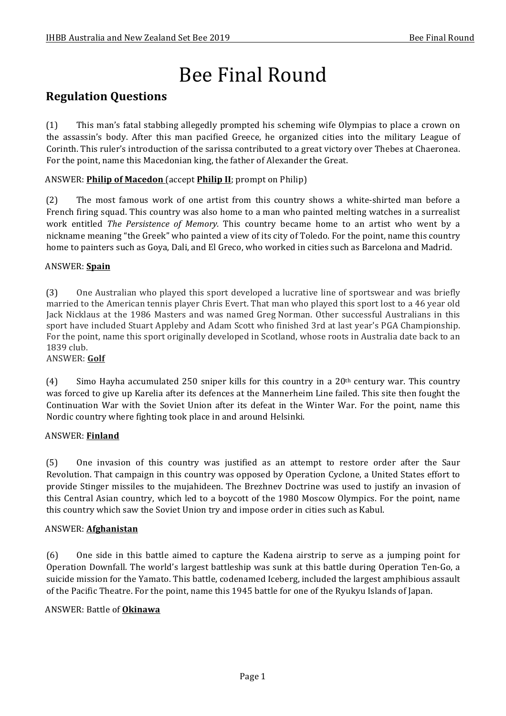# Bee Final Round

### **Regulation Questions**

(1) This man's fatal stabbing allegedly prompted his scheming wife Olympias to place a crown on the assassin's body. After this man pacified Greece, he organized cities into the military League of Corinth. This ruler's introduction of the sarissa contributed to a great victory over Thebes at Chaeronea. For the point, name this Macedonian king, the father of Alexander the Great.

#### ANSWER: **Philip of Macedon** (accept **Philip II**; prompt on Philip)

(2) The most famous work of one artist from this country shows a white-shirted man before a French firing squad. This country was also home to a man who painted melting watches in a surrealist work entitled *The Persistence of Memory*. This country became home to an artist who went by a nickname meaning "the Greek" who painted a view of its city of Toledo. For the point, name this country home to painters such as Goya, Dali, and El Greco, who worked in cities such as Barcelona and Madrid.

#### ANSWER: **Spain**

(3) One Australian who played this sport developed a lucrative line of sportswear and was briefly married to the American tennis player Chris Evert. That man who played this sport lost to a 46 year old Lack Nicklaus at the 1986 Masters and was named Greg Norman. Other successful Australians in this sport have included Stuart Appleby and Adam Scott who finished 3rd at last year's PGA Championship. For the point, name this sport originally developed in Scotland, whose roots in Australia date back to an 1839 club.

#### ANSWER: **Golf**

(4) Simo Hayha accumulated 250 sniper kills for this country in a 20<sup>th</sup> century war. This country was forced to give up Karelia after its defences at the Mannerheim Line failed. This site then fought the Continuation War with the Soviet Union after its defeat in the Winter War. For the point, name this Nordic country where fighting took place in and around Helsinki.

#### ANSWER: **Finland**

(5) One invasion of this country was justified as an attempt to restore order after the Saur Revolution. That campaign in this country was opposed by Operation Cyclone, a United States effort to provide Stinger missiles to the mujahideen. The Brezhnev Doctrine was used to justify an invasion of this Central Asian country, which led to a boycott of the 1980 Moscow Olympics. For the point, name this country which saw the Soviet Union try and impose order in cities such as Kabul.

#### ANSWER: **Afghanistan**

(6) One side in this battle aimed to capture the Kadena airstrip to serve as a jumping point for Operation Downfall. The world's largest battleship was sunk at this battle during Operation Ten-Go, a suicide mission for the Yamato. This battle, codenamed Iceberg, included the largest amphibious assault of the Pacific Theatre. For the point, name this 1945 battle for one of the Ryukyu Islands of Japan.

#### ANSWER: Battle of **Okinawa**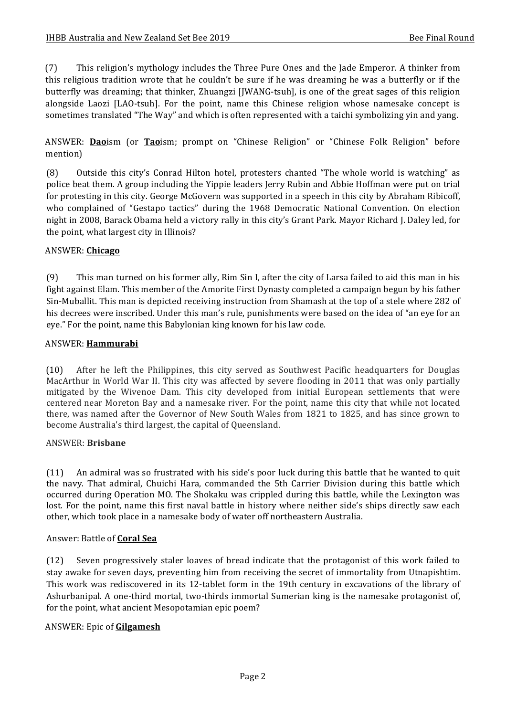(7) This religion's mythology includes the Three Pure Ones and the Jade Emperor. A thinker from this religious tradition wrote that he couldn't be sure if he was dreaming he was a butterfly or if the butterfly was dreaming; that thinker, Zhuangzi [JWANG-tsuh], is one of the great sages of this religion alongside Laozi [LAO-tsuh]. For the point, name this Chinese religion whose namesake concept is sometimes translated "The Way" and which is often represented with a taichi symbolizing yin and yang.

ANSWER: **Dao**ism (or **Tao**ism; prompt on "Chinese Religion" or "Chinese Folk Religion" before mention)

(8) Outside this city's Conrad Hilton hotel, protesters chanted "The whole world is watching" as police beat them. A group including the Yippie leaders Jerry Rubin and Abbie Hoffman were put on trial for protesting in this city. George McGovern was supported in a speech in this city by Abraham Ribicoff, who complained of "Gestapo tactics" during the 1968 Democratic National Convention. On election night in 2008, Barack Obama held a victory rally in this city's Grant Park. Mayor Richard J. Daley led, for the point, what largest city in Illinois?

#### ANSWER: **Chicago**

(9) This man turned on his former ally, Rim Sin I, after the city of Larsa failed to aid this man in his fight against Elam. This member of the Amorite First Dynasty completed a campaign begun by his father Sin-Muballit. This man is depicted receiving instruction from Shamash at the top of a stele where 282 of his decrees were inscribed. Under this man's rule, punishments were based on the idea of "an eve for an eye." For the point, name this Babylonian king known for his law code.

#### ANSWER: **Hammurabi**

(10) After he left the Philippines, this city served as Southwest Pacific headquarters for Douglas MacArthur in World War II. This city was affected by severe flooding in 2011 that was only partially mitigated by the Wivenoe Dam. This city developed from initial European settlements that were centered near Moreton Bay and a namesake river. For the point, name this city that while not located there, was named after the Governor of New South Wales from 1821 to 1825, and has since grown to become Australia's third largest, the capital of Queensland.

#### ANSWER: **Brisbane**

(11) An admiral was so frustrated with his side's poor luck during this battle that he wanted to quit the navy. That admiral, Chuichi Hara, commanded the 5th Carrier Division during this battle which occurred during Operation MO. The Shokaku was crippled during this battle, while the Lexington was lost. For the point, name this first naval battle in history where neither side's ships directly saw each other, which took place in a namesake body of water off northeastern Australia.

#### Answer: Battle of **Coral Sea**

(12) Seven progressively staler loaves of bread indicate that the protagonist of this work failed to stay awake for seven days, preventing him from receiving the secret of immortality from Utnapishtim. This work was rediscovered in its 12-tablet form in the 19th century in excavations of the library of Ashurbanipal. A one-third mortal, two-thirds immortal Sumerian king is the namesake protagonist of, for the point, what ancient Mesopotamian epic poem?

#### ANSWER: Epic of **Gilgamesh**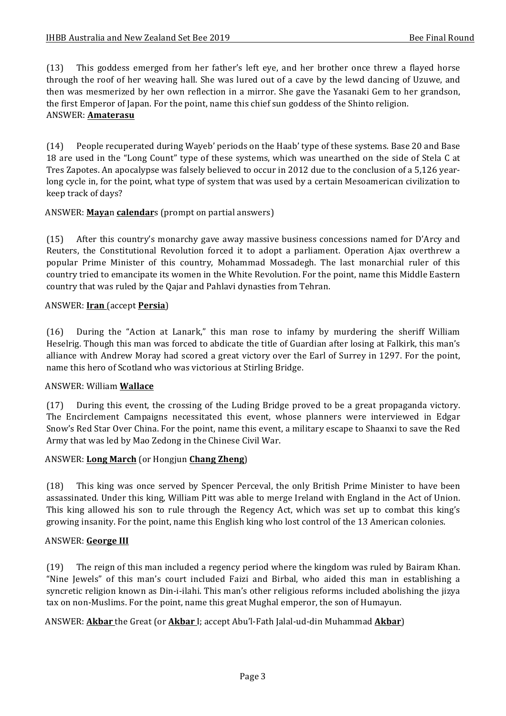(13) This goddess emerged from her father's left eye, and her brother once threw a flayed horse through the roof of her weaving hall. She was lured out of a cave by the lewd dancing of Uzuwe, and then was mesmerized by her own reflection in a mirror. She gave the Yasanaki Gem to her grandson, the first Emperor of Japan. For the point, name this chief sun goddess of the Shinto religion. ANSWER: **Amaterasu** 

(14) People recuperated during Wayeb' periods on the Haab' type of these systems. Base 20 and Base 18 are used in the "Long Count" type of these systems, which was unearthed on the side of Stela C at Tres Zapotes. An apocalypse was falsely believed to occur in 2012 due to the conclusion of a 5,126 yearlong cycle in, for the point, what type of system that was used by a certain Mesoamerican civilization to keep track of days?

#### ANSWER: **Mayan calendar**s (prompt on partial answers)

(15) After this country's monarchy gave away massive business concessions named for D'Arcy and Reuters, the Constitutional Revolution forced it to adopt a parliament. Operation Ajax overthrew a popular Prime Minister of this country, Mohammad Mossadegh. The last monarchial ruler of this country tried to emancipate its women in the White Revolution. For the point, name this Middle Eastern country that was ruled by the Qajar and Pahlavi dynasties from Tehran.

#### ANSWER: **Iran** (accept **Persia**)

 $(16)$  During the "Action at Lanark," this man rose to infamy by murdering the sheriff William Heselrig. Though this man was forced to abdicate the title of Guardian after losing at Falkirk, this man's alliance with Andrew Moray had scored a great victory over the Earl of Surrey in 1297. For the point, name this hero of Scotland who was victorious at Stirling Bridge.

#### ANSWER: William **Wallace**

 $(17)$  During this event, the crossing of the Luding Bridge proved to be a great propaganda victory. The Encirclement Campaigns necessitated this event, whose planners were interviewed in Edgar Snow's Red Star Over China. For the point, name this event, a military escape to Shaanxi to save the Red Army that was led by Mao Zedong in the Chinese Civil War.

#### ANSWER: **Long March** (or Hongjun **Chang Zheng**)

(18) This king was once served by Spencer Perceval, the only British Prime Minister to have been assassinated. Under this king, William Pitt was able to merge Ireland with England in the Act of Union. This king allowed his son to rule through the Regency Act, which was set up to combat this king's growing insanity. For the point, name this English king who lost control of the 13 American colonies.

#### ANSWER: George III

(19) The reign of this man included a regency period where the kingdom was ruled by Bairam Khan. "Nine Jewels" of this man's court included Faizi and Birbal, who aided this man in establishing a syncretic religion known as Din-i-ilahi. This man's other religious reforms included abolishing the jizya tax on non-Muslims. For the point, name this great Mughal emperor, the son of Humayun.

ANSWER: **Akbar** the Great (or **Akbar** I; accept Abu'l-Fath Jalal-ud-din Muhammad **Akbar**)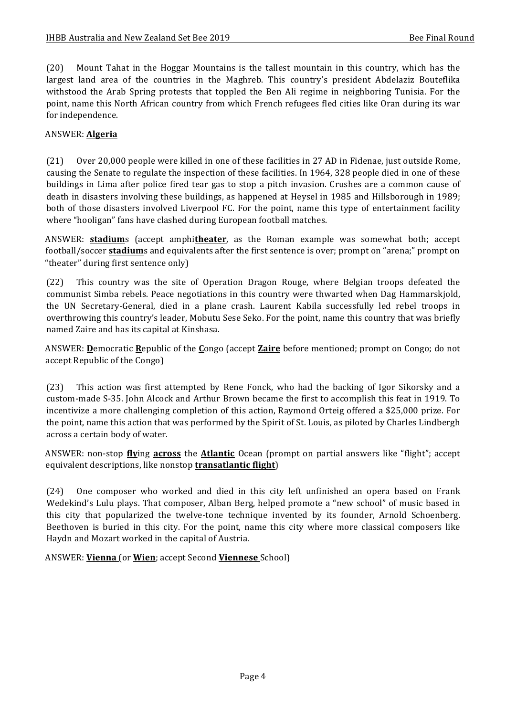(20) Mount Tahat in the Hoggar Mountains is the tallest mountain in this country, which has the largest land area of the countries in the Maghreb. This country's president Abdelaziz Bouteflika withstood the Arab Spring protests that toppled the Ben Ali regime in neighboring Tunisia. For the point, name this North African country from which French refugees fled cities like Oran during its war for independence.

#### ANSWER: **Algeria**

(21) Over 20,000 people were killed in one of these facilities in 27 AD in Fidenae, just outside Rome, causing the Senate to regulate the inspection of these facilities. In 1964, 328 people died in one of these buildings in Lima after police fired tear gas to stop a pitch invasion. Crushes are a common cause of death in disasters involving these buildings, as happened at Heysel in 1985 and Hillsborough in 1989; both of those disasters involved Liverpool FC. For the point, name this type of entertainment facility where "hooligan" fans have clashed during European football matches.

ANSWER: **stadium**s (accept amphitheater, as the Roman example was somewhat both; accept football/soccer **stadium**s and equivalents after the first sentence is over; prompt on "arena;" prompt on "theater" during first sentence only)

(22) This country was the site of Operation Dragon Rouge, where Belgian troops defeated the communist Simba rebels. Peace negotiations in this country were thwarted when Dag Hammarskjold, the UN Secretary-General, died in a plane crash. Laurent Kabila successfully led rebel troops in overthrowing this country's leader, Mobutu Sese Seko. For the point, name this country that was briefly named Zaire and has its capital at Kinshasa.

ANSWER: **D**emocratic Republic of the Congo (accept Zaire before mentioned; prompt on Congo; do not accept Republic of the Congo)

(23) This action was first attempted by Rene Fonck, who had the backing of Igor Sikorsky and a custom-made S-35. John Alcock and Arthur Brown became the first to accomplish this feat in 1919. To incentivize a more challenging completion of this action, Raymond Orteig offered a \$25,000 prize. For the point, name this action that was performed by the Spirit of St. Louis, as piloted by Charles Lindbergh across a certain body of water.

ANSWER: non-stop **flying across** the **Atlantic** Ocean (prompt on partial answers like "flight"; accept equivalent descriptions, like nonstop **transatlantic flight**)

(24) One composer who worked and died in this city left unfinished an opera based on Frank Wedekind's Lulu plays. That composer, Alban Berg, helped promote a "new school" of music based in this city that popularized the twelve-tone technique invented by its founder, Arnold Schoenberg. Beethoven is buried in this city. For the point, name this city where more classical composers like Haydn and Mozart worked in the capital of Austria.

ANSWER: **Vienna** (or **Wien**; accept Second **Viennese** School)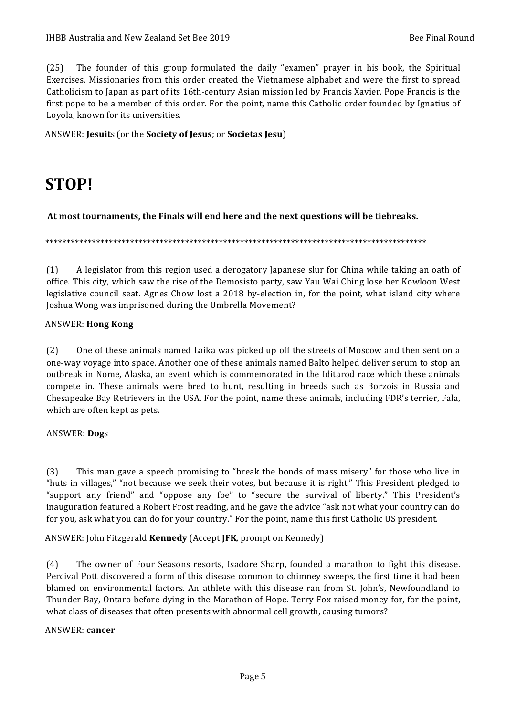$(25)$  The founder of this group formulated the daily "examen" prayer in his book, the Spiritual Exercises. Missionaries from this order created the Vietnamese alphabet and were the first to spread Catholicism to Japan as part of its 16th-century Asian mission led by Francis Xavier. Pope Francis is the first pope to be a member of this order. For the point, name this Catholic order founded by Ignatius of Loyola, known for its universities.

ANSWER: **Jesuits** (or the **Society of Jesus**; or **Societas Jesu**)

## **STOP!**

At most tournaments, the Finals will end here and the next questions will be tiebreaks.

**\*\*\*\*\*\*\*\*\*\*\*\*\*\*\*\*\*\*\*\*\*\*\*\*\*\*\*\*\*\*\*\*\*\*\*\*\*\*\*\*\*\*\*\*\*\*\*\*\*\*\*\*\*\*\*\*\*\*\*\*\*\*\*\*\*\*\*\*\*\*\*\*\*\*\*\*\*\*\*\*\*\*\*\*\*\*\*\*\*\***

(1) A legislator from this region used a derogatory Japanese slur for China while taking an oath of office. This city, which saw the rise of the Demosisto party, saw Yau Wai Ching lose her Kowloon West legislative council seat. Agnes Chow lost a 2018 by-election in, for the point, what island city where Joshua Wong was imprisoned during the Umbrella Movement?

#### ANSWER: **Hong Kong**

(2) One of these animals named Laika was picked up off the streets of Moscow and then sent on a one-way voyage into space. Another one of these animals named Balto helped deliver serum to stop an outbreak in Nome, Alaska, an event which is commemorated in the Iditarod race which these animals compete in. These animals were bred to hunt, resulting in breeds such as Borzois in Russia and Chesapeake Bay Retrievers in the USA. For the point, name these animals, including FDR's terrier, Fala, which are often kept as pets.

#### ANSWER: **Dog**s

(3) This man gave a speech promising to "break the bonds of mass misery" for those who live in "huts in villages," "not because we seek their votes, but because it is right." This President pledged to "support any friend" and "oppose any foe" to "secure the survival of liberty." This President's inauguration featured a Robert Frost reading, and he gave the advice "ask not what your country can do for you, ask what you can do for your country." For the point, name this first Catholic US president.

ANSWER: John Fitzgerald **Kennedy** (Accept JFK, prompt on Kennedy)

(4) The owner of Four Seasons resorts, Isadore Sharp, founded a marathon to fight this disease. Percival Pott discovered a form of this disease common to chimney sweeps, the first time it had been blamed on environmental factors. An athlete with this disease ran from St. John's, Newfoundland to Thunder Bay, Ontaro before dying in the Marathon of Hope. Terry Fox raised money for, for the point, what class of diseases that often presents with abnormal cell growth, causing tumors?

#### ANSWER: **cancer**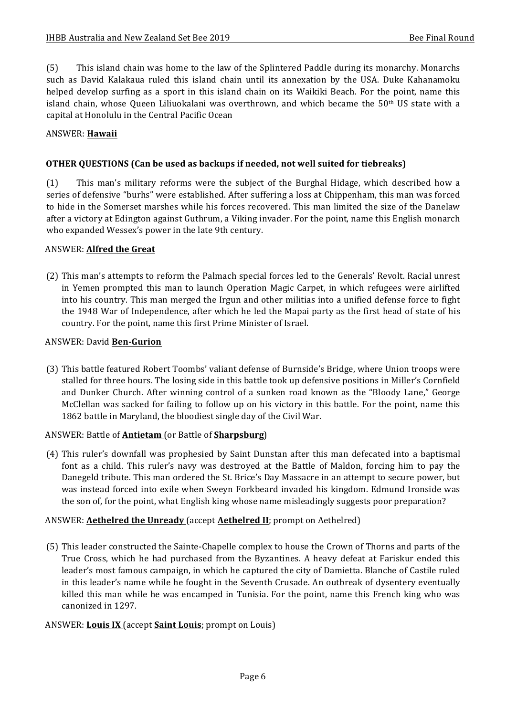(5) This island chain was home to the law of the Splintered Paddle during its monarchy. Monarchs such as David Kalakaua ruled this island chain until its annexation by the USA. Duke Kahanamoku helped develop surfing as a sport in this island chain on its Waikiki Beach. For the point, name this island chain, whose Queen Liliuokalani was overthrown, and which became the  $50<sup>th</sup>$  US state with a capital at Honolulu in the Central Pacific Ocean

#### ANSWER: **Hawaii**

#### **OTHER QUESTIONS (Can be used as backups if needed, not well suited for tiebreaks)**

(1) This man's military reforms were the subject of the Burghal Hidage, which described how a series of defensive "burhs" were established. After suffering a loss at Chippenham, this man was forced to hide in the Somerset marshes while his forces recovered. This man limited the size of the Danelaw after a victory at Edington against Guthrum, a Viking invader. For the point, name this English monarch who expanded Wessex's power in the late 9th century.

#### **ANSWER: Alfred the Great**

(2) This man's attempts to reform the Palmach special forces led to the Generals' Revolt. Racial unrest in Yemen prompted this man to launch Operation Magic Carpet, in which refugees were airlifted into his country. This man merged the Irgun and other militias into a unified defense force to fight the 1948 War of Independence, after which he led the Mapai party as the first head of state of his country. For the point, name this first Prime Minister of Israel.

#### ANSWER: David **Ben-Gurion**

(3) This battle featured Robert Toombs' valiant defense of Burnside's Bridge, where Union troops were stalled for three hours. The losing side in this battle took up defensive positions in Miller's Cornfield and Dunker Church. After winning control of a sunken road known as the "Bloody Lane," George McClellan was sacked for failing to follow up on his victory in this battle. For the point, name this 1862 battle in Maryland, the bloodiest single day of the Civil War.

#### ANSWER: Battle of **Antietam** (or Battle of **Sharpsburg**)

(4) This ruler's downfall was prophesied by Saint Dunstan after this man defecated into a baptismal font as a child. This ruler's navy was destroyed at the Battle of Maldon, forcing him to pay the Danegeld tribute. This man ordered the St. Brice's Day Massacre in an attempt to secure power, but was instead forced into exile when Sweyn Forkbeard invaded his kingdom. Edmund Ironside was the son of, for the point, what English king whose name misleadingly suggests poor preparation?

#### ANSWER: **Aethelred the Unready** (accept **Aethelred II**; prompt on Aethelred)

(5) This leader constructed the Sainte-Chapelle complex to house the Crown of Thorns and parts of the True Cross, which he had purchased from the Byzantines. A heavy defeat at Fariskur ended this leader's most famous campaign, in which he captured the city of Damietta. Blanche of Castile ruled in this leader's name while he fought in the Seventh Crusade. An outbreak of dysentery eventually killed this man while he was encamped in Tunisia. For the point, name this French king who was canonized in 1297.

#### ANSWER: **Louis IX** (accept **Saint Louis**; prompt on Louis)